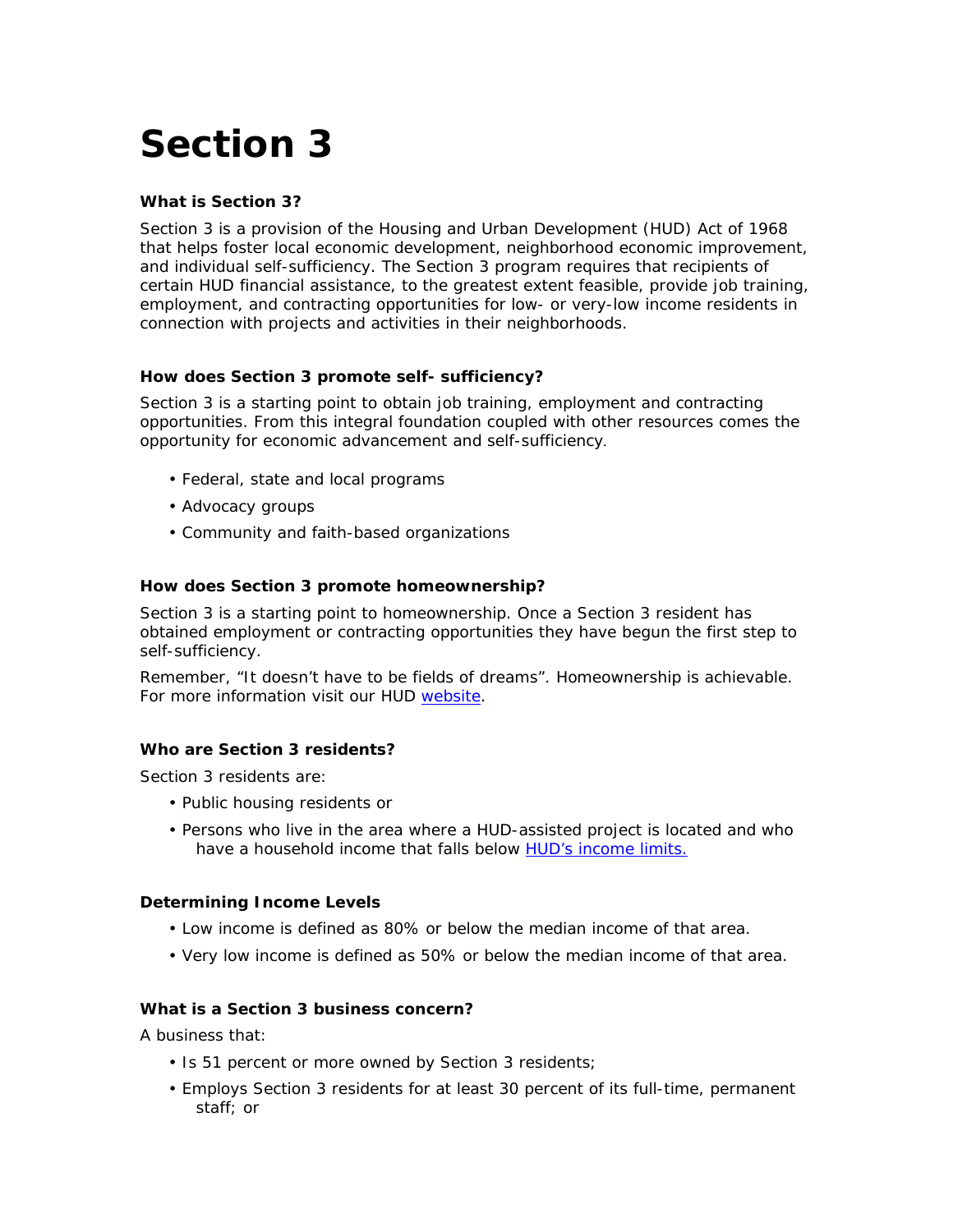# **Section 3**

# **What is Section 3?**

Section 3 is a provision of the Housing and Urban Development (HUD) Act of 1968 that helps foster local economic development, neighborhood economic improvement, and individual self-sufficiency. The Section 3 program requires that recipients of certain HUD financial assistance, to the greatest extent feasible, provide job training, employment, and contracting opportunities for low- or very-low income residents in connection with projects and activities in their neighborhoods.

# **How does Section 3 promote self- sufficiency?**

Section 3 is a starting point to obtain job training, employment and contracting opportunities. From this integral foundation coupled with other resources comes the opportunity for economic advancement and self-sufficiency.

- Federal, state and local programs
- Advocacy groups
- Community and faith-based organizations

# **How does Section 3 promote homeownership?**

Section 3 is a starting point to homeownership. Once a Section 3 resident has obtained employment or contracting opportunities they have begun the first step to self-sufficiency.

Remember, "It doesn't have to be fields of dreams". Homeownership is achievable. For more information visit our HUD [website.](http://www.hud.gov/)

# **Who are Section 3 residents?**

Section 3 residents are:

- Public housing residents or
- Persons who live in the area where a HUD-assisted project is located and who have a household income that falls below [HUD's income limits.](http://www.huduser.org/datasets/il/il07/index.html)

# **Determining Income Levels**

- Low income is defined as 80% or below the median income of that area.
- Very low income is defined as 50% or below the median income of that area.

# **What is a Section 3 business concern?**

A business that:

- Is 51 percent or more owned by Section 3 residents;
- Employs Section 3 residents for at least 30 percent of its full-time, permanent staff; or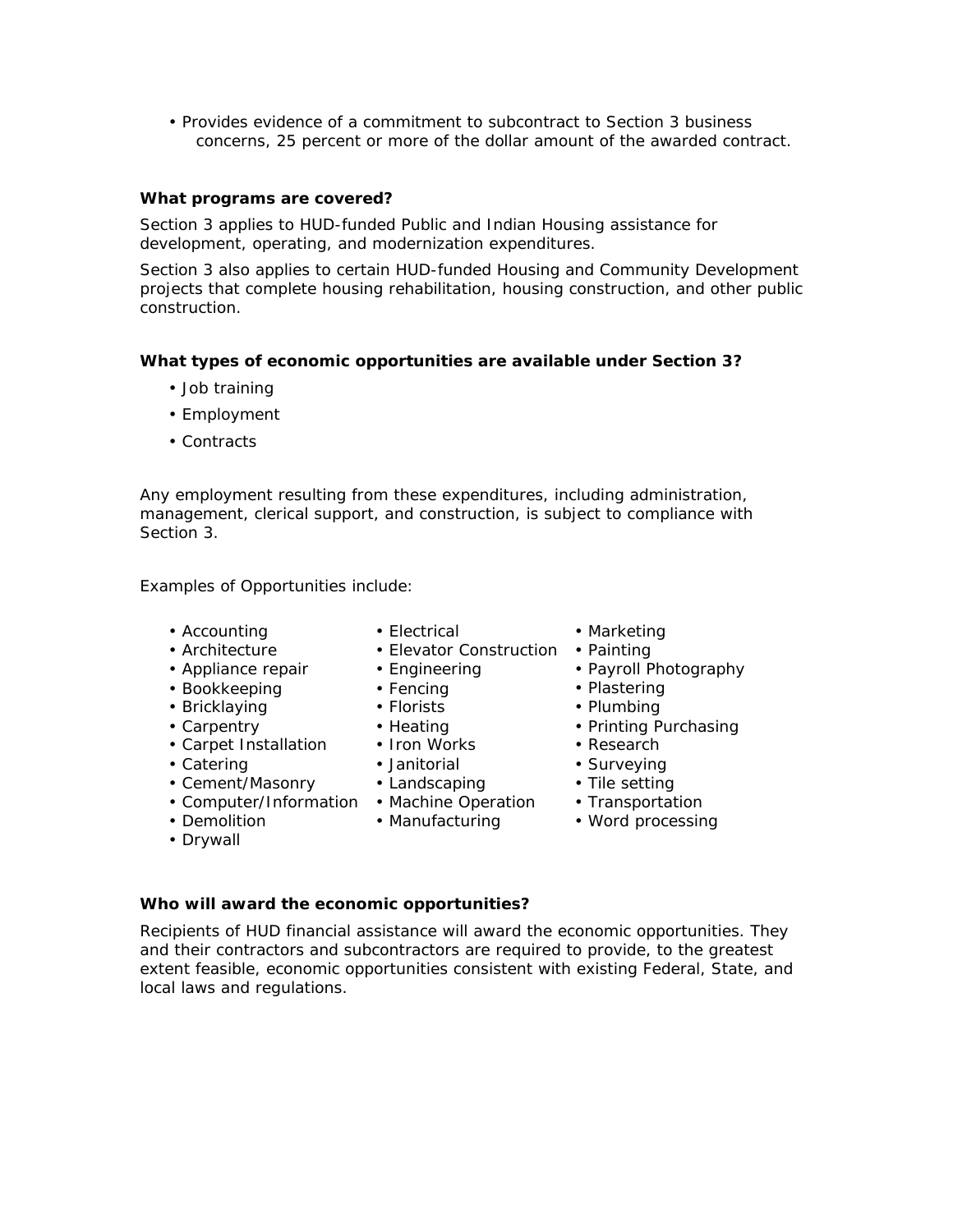• Provides evidence of a commitment to subcontract to Section 3 business concerns, 25 percent or more of the dollar amount of the awarded contract.

## **What programs are covered?**

Section 3 applies to HUD-funded Public and Indian Housing assistance for development, operating, and modernization expenditures.

Section 3 also applies to certain HUD-funded Housing and Community Development projects that complete housing rehabilitation, housing construction, and other public construction.

## **What types of economic opportunities are available under Section 3?**

- Job training
- Employment
- Contracts

Any employment resulting from these expenditures, including administration, management, clerical support, and construction, is subject to compliance with Section 3.

## *Examples of Opportunities include:*

• Accounting

• Architecture

• Bookkeeping • Bricklaying • Carpentry

- Electrical
- Elevator Construction
- Appliance repair • Engineering
	- Fencing
		- Florists
		-
		-
		-
		-
		- Landscaping
			- Machine Operation
		- Manufacturing
- Marketing
- Painting
- Payroll Photography
- Plastering
- Plumbing
- Printing Purchasing
- Research
- Surveying
- Tile setting
- Transportation
- Word processing

#### **Who will award the economic opportunities?**

Recipients of HUD financial assistance will award the economic opportunities. They and their contractors and subcontractors are required to provide, to the greatest extent feasible, economic opportunities consistent with existing Federal, State, and local laws and regulations.

- 
- Heating
- Iron Works
- Janitorial
- Cement/Masonry
- Computer/Information

• Carpet Installation

• Demolition

• Catering

• Drywall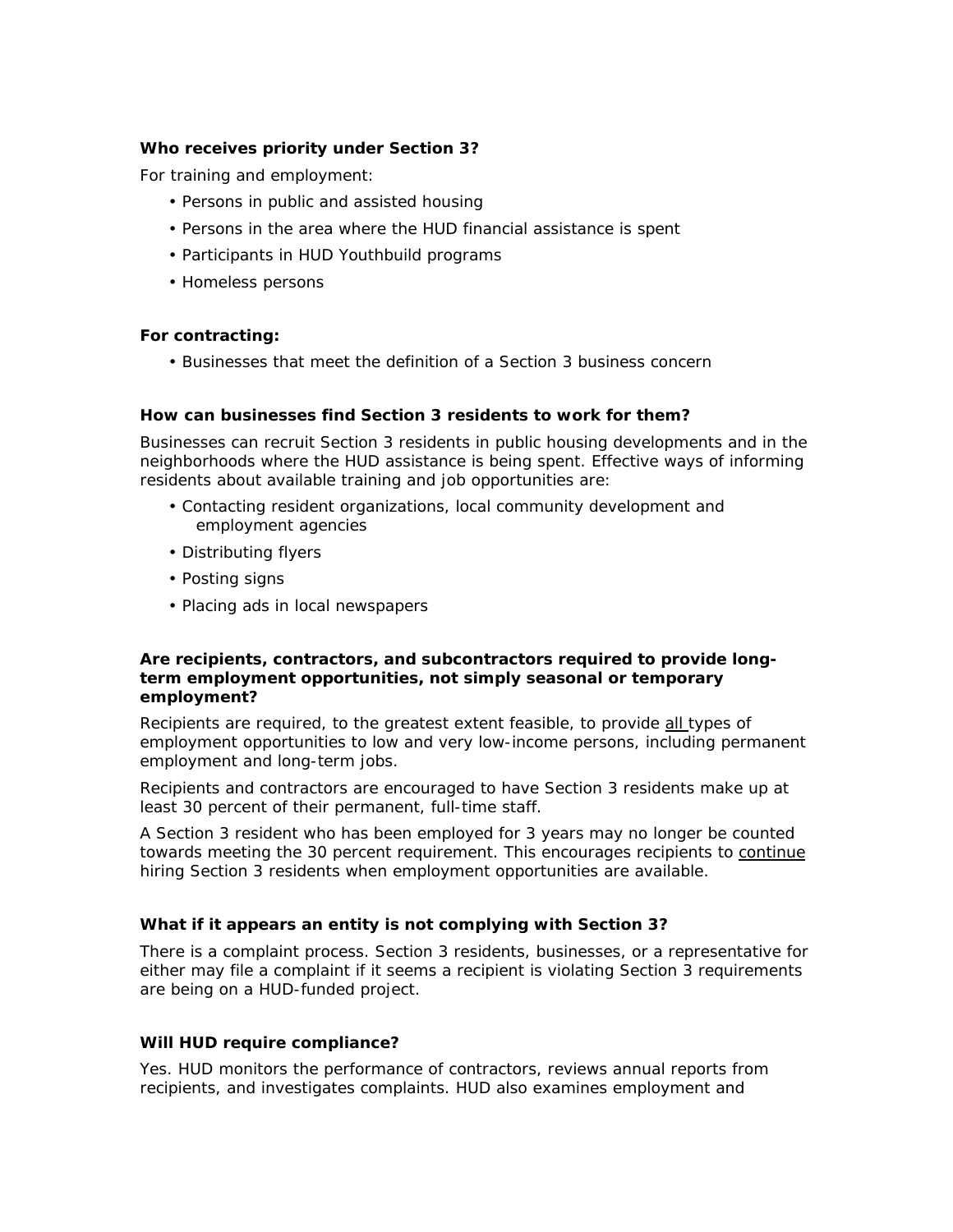# **Who receives priority under Section 3?**

For training and employment:

- Persons in public and assisted housing
- Persons in the area where the HUD financial assistance is spent
- Participants in HUD Youthbuild programs
- Homeless persons

#### **For contracting:**

• Businesses that meet the definition of a Section 3 business concern

#### **How can businesses find Section 3 residents to work for them?**

Businesses can recruit Section 3 residents in public housing developments and in the neighborhoods where the HUD assistance is being spent. Effective ways of informing residents about available training and job opportunities are:

- Contacting resident organizations, local community development and employment agencies
- Distributing flyers
- Posting signs
- Placing ads in local newspapers

#### **Are recipients, contractors, and subcontractors required to provide longterm employment opportunities, not simply seasonal or temporary employment?**

Recipients are required, to the greatest extent feasible, to provide all types of employment opportunities to low and very low-income persons, including permanent employment and long-term jobs.

Recipients and contractors are encouraged to have Section 3 residents make up at least 30 percent of their permanent, full-time staff.

A Section 3 resident who has been employed for 3 years may no longer be counted towards meeting the 30 percent requirement. This encourages recipients to continue hiring Section 3 residents when employment opportunities are available.

#### **What if it appears an entity is not complying with Section 3?**

There is a complaint process. Section 3 residents, businesses, or a representative for either may file a complaint if it seems a recipient is violating Section 3 requirements are being on a HUD-funded project.

#### **Will HUD require compliance?**

Yes. HUD monitors the performance of contractors, reviews annual reports from recipients, and investigates complaints. HUD also examines employment and